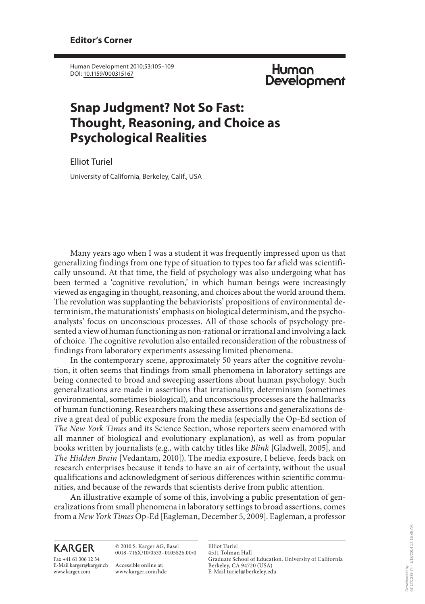Human Development 2010;53:105–109 DOI: [10.1159/000315167](http://dx.doi.org/10.1159%2F000315167)

Human Development

## **Snap Judgment? Not So Fast: Thought, Reasoning, and Choice as Psychological Realities**

Elliot Turiel

University of California, Berkeley, Calif., USA

 Many years ago when I was a student it was frequently impressed upon us that generalizing findings from one type of situation to types too far afield was scientifically unsound. At that time, the field of psychology was also undergoing what has been termed a 'cognitive revolution,' in which human beings were increasingly viewed as engaging in thought, reasoning, and choices about the world around them. The revolution was supplanting the behaviorists' propositions of environmental determinism, the maturationists' emphasis on biological determinism, and the psychoanalysts' focus on unconscious processes. All of those schools of psychology presented a view of human functioning as non-rational or irrational and involving a lack of choice. The cognitive revolution also entailed reconsideration of the robustness of findings from laboratory experiments assessing limited phenomena.

 In the contemporary scene, approximately 50 years after the cognitive revolution, it often seems that findings from small phenomena in laboratory settings are being connected to broad and sweeping assertions about human psychology. Such generalizations are made in assertions that irrationality, determinism (sometimes environmental, sometimes biological), and unconscious processes are the hallmarks of human functioning. Researchers making these assertions and generalizations derive a great deal of public exposure from the media (especially the Op-Ed section of *The New York Times* and its Science Section, whose reporters seem enamored with all manner of biological and evolutionary explanation), as well as from popular books written by journalists (e.g., with catchy titles like *Blink* [Gladwell, 2005], and *The Hidden Brain* [Vedantam, 2010]). The media exposure, I believe, feeds back on research enterprises because it tends to have an air of certainty, without the usual qualifications and acknowledgment of serious differences within scientific communities, and because of the rewards that scientists derive from public attention.

An illustrative example of some of this, involving a public presentation of generalizations from small phenomena in laboratory settings to broad assertions, comes from a *New York Times* Op-Ed [Eagleman, December 5, 2009]. Eagleman, a professor

## KARGER

 © 2010 S. Karger AG, Basel 0018–716X/10/0533–0105\$26.00/0

E-Mail karger@karger.ch Accessible online at: Fax +41 61 306 12 34 www.karger.com

www.karger.com/hde

 Elliot Turiel 4511 Tolman Hall Graduate School of Education, University of California Berkeley, CA 94720 (USA) E-Mail turiel @ berkeley.edu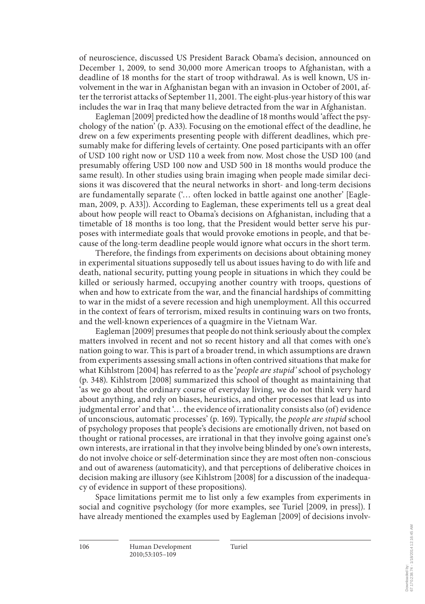of neuroscience, discussed US President Barack Obama's decision, announced on December 1, 2009, to send 30,000 more American troops to Afghanistan, with a deadline of 18 months for the start of troop withdrawal. As is well known, US involvement in the war in Afghanistan began with an invasion in October of 2001, after the terrorist attacks of September 11, 2001. The eight-plus-year history of this war includes the war in Iraq that many believe detracted from the war in Afghanistan.

 Eagleman [2009] predicted how the deadline of 18 months would 'affect the psychology of the nation' (p. A33). Focusing on the emotional effect of the deadline, he drew on a few experiments presenting people with different deadlines, which presumably make for differing levels of certainty. One posed participants with an offer of USD 100 right now or USD 110 a week from now. Most chose the USD 100 (and presumably offering USD 100 now and USD 500 in 18 months would produce the same result). In other studies using brain imaging when people made similar decisions it was discovered that the neural networks in short- and long-term decisions are fundamentally separate ('… often locked in battle against one another' [Eagleman, 2009, p. A33]). According to Eagleman, these experiments tell us a great deal about how people will react to Obama's decisions on Afghanistan, including that a timetable of 18 months is too long, that the President would better serve his purposes with intermediate goals that would provoke emotions in people, and that because of the long-term deadline people would ignore what occurs in the short term.

 Therefore, the findings from experiments on decisions about obtaining money in experimental situations supposedly tell us about issues having to do with life and death, national security, putting young people in situations in which they could be killed or seriously harmed, occupying another country with troops, questions of when and how to extricate from the war, and the financial hardships of committing to war in the midst of a severe recession and high unemployment. All this occurred in the context of fears of terrorism, mixed results in continuing wars on two fronts, and the well-known experiences of a quagmire in the Vietnam War.

 Eagleman [2009] presumes that people do not think seriously about the complex matters involved in recent and not so recent history and all that comes with one's nation going to war. This is part of a broader trend, in which assumptions are drawn from experiments assessing small actions in often contrived situations that make for what Kihlstrom [2004] has referred to as the '*people are stupid*' school of psychology (p. 348). Kihlstrom [2008] summarized this school of thought as maintaining that 'as we go about the ordinary course of everyday living, we do not think very hard about anything, and rely on biases, heuristics, and other processes that lead us into judgmental error' and that '… the evidence of irrationality consists also (of) evidence of unconscious, automatic processes' (p. 169). Typically, the *people are stupid* school of psychology proposes that people's decisions are emotionally driven, not based on thought or rational processes, are irrational in that they involve going against one's own interests, are irrational in that they involve being blinded by one's own interests, do not involve choice or self-determination since they are most often non-conscious and out of awareness (automaticity), and that perceptions of deliberative choices in decision making are illusory (see Kihlstrom [2008] for a discussion of the inadequacy of evidence in support of these propositions).

 Space limitations permit me to list only a few examples from experiments in social and cognitive psychology (for more examples, see Turiel [2009, in press]). I have already mentioned the examples used by Eagleman [2009] of decisions involv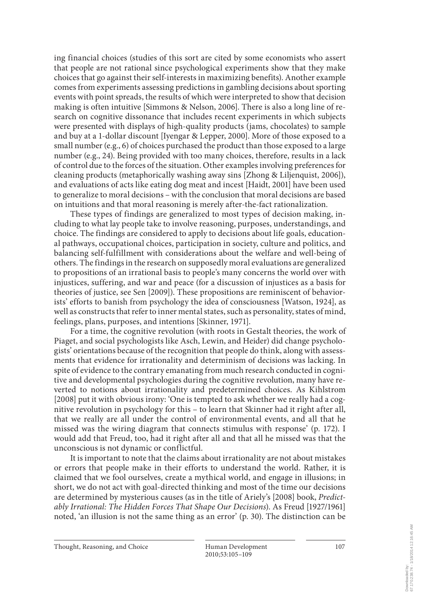ing financial choices (studies of this sort are cited by some economists who assert that people are not rational since psychological experiments show that they make choices that go against their self-interests in maximizing benefits). Another example comes from experiments assessing predictions in gambling decisions about sporting events with point spreads, the results of which were interpreted to show that decision making is often intuitive [Simmons & Nelson, 2006]. There is also a long line of research on cognitive dissonance that includes recent experiments in which subjects were presented with displays of high-quality products (jams, chocolates) to sample and buy at a 1-dollar discount [Iyengar & Lepper, 2000]. More of those exposed to a small number (e.g., 6) of choices purchased the product than those exposed to a large number (e.g., 24). Being provided with too many choices, therefore, results in a lack of control due to the forces of the situation. Other examples involving preferences for cleaning products (metaphorically washing away sins [Zhong & Liljenquist, 2006]), and evaluations of acts like eating dog meat and incest [Haidt, 2001] have been used to generalize to moral decisions – with the conclusion that moral decisions are based on intuitions and that moral reasoning is merely after-the-fact rationalization.

 These types of findings are generalized to most types of decision making, including to what lay people take to involve reasoning, purposes, understandings, and choice. The findings are considered to apply to decisions about life goals, educational pathways, occupational choices, participation in society, culture and politics, and balancing self-fulfillment with considerations about the welfare and well-being of others. The findings in the research on supposedly moral evaluations are generalized to propositions of an irrational basis to people's many concerns the world over with injustices, suffering, and war and peace (for a discussion of injustices as a basis for theories of justice, see Sen [2009]). These propositions are reminiscent of behaviorists' efforts to banish from psychology the idea of consciousness [Watson, 1924], as well as constructs that refer to inner mental states, such as personality, states of mind, feelings, plans, purposes, and intentions [Skinner, 1971].

 For a time, the cognitive revolution (with roots in Gestalt theories, the work of Piaget, and social psychologists like Asch, Lewin, and Heider) did change psychologists' orientations because of the recognition that people do think, along with assessments that evidence for irrationality and determinism of decisions was lacking. In spite of evidence to the contrary emanating from much research conducted in cognitive and developmental psychologies during the cognitive revolution, many have reverted to notions about irrationality and predetermined choices. As Kihlstrom [2008] put it with obvious irony: 'One is tempted to ask whether we really had a cognitive revolution in psychology for this – to learn that Skinner had it right after all, that we really are all under the control of environmental events, and all that he missed was the wiring diagram that connects stimulus with response' (p. 172). I would add that Freud, too, had it right after all and that all he missed was that the unconscious is not dynamic or conflictful.

 It is important to note that the claims about irrationality are not about mistakes or errors that people make in their efforts to understand the world. Rather, it is claimed that we fool ourselves, create a mythical world, and engage in illusions; in short, we do not act with goal-directed thinking and most of the time our decisions are determined by mysterious causes (as in the title of Ariely's [2008] book, *Predictably Irrational: The Hidden Forces That Shape Our Decisions* ). As Freud [1927/1961] noted, 'an illusion is not the same thing as an error' (p. 30). The distinction can be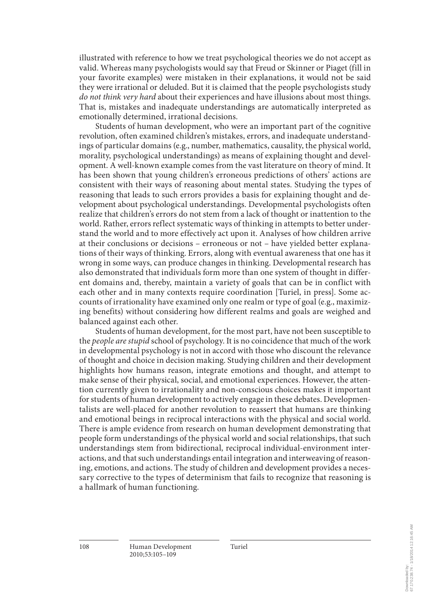illustrated with reference to how we treat psychological theories we do not accept as valid. Whereas many psychologists would say that Freud or Skinner or Piaget (fill in your favorite examples) were mistaken in their explanations, it would not be said they were irrational or deluded. But it is claimed that the people psychologists study *do not think very hard* about their experiences and have illusions about most things. That is, mistakes and inadequate understandings are automatically interpreted as emotionally determined, irrational decisions.

 Students of human development, who were an important part of the cognitive revolution, often examined children's mistakes, errors, and inadequate understandings of particular domains (e.g., number, mathematics, causality, the physical world, morality, psychological understandings) as means of explaining thought and development. A well-known example comes from the vast literature on theory of mind. It has been shown that young children's erroneous predictions of others' actions are consistent with their ways of reasoning about mental states. Studying the types of reasoning that leads to such errors provides a basis for explaining thought and development about psychological understandings. Developmental psychologists often realize that children's errors do not stem from a lack of thought or inattention to the world. Rather, errors reflect systematic ways of thinking in attempts to better understand the world and to more effectively act upon it. Analyses of how children arrive at their conclusions or decisions – erroneous or not – have yielded better explanations of their ways of thinking. Errors, along with eventual awareness that one has it wrong in some ways, can produce changes in thinking. Developmental research has also demonstrated that individuals form more than one system of thought in different domains and, thereby, maintain a variety of goals that can be in conflict with each other and in many contexts require coordination [Turiel, in press]. Some accounts of irrationality have examined only one realm or type of goal (e.g., maximizing benefits) without considering how different realms and goals are weighed and balanced against each other.

 Students of human development, for the most part, have not been susceptible to the *people are stupid* school of psychology. It is no coincidence that much of the work in developmental psychology is not in accord with those who discount the relevance of thought and choice in decision making. Studying children and their development highlights how humans reason, integrate emotions and thought, and attempt to make sense of their physical, social, and emotional experiences. However, the attention currently given to irrationality and non-conscious choices makes it important for students of human development to actively engage in these debates. Developmentalists are well-placed for another revolution to reassert that humans are thinking and emotional beings in reciprocal interactions with the physical and social world. There is ample evidence from research on human development demonstrating that people form understandings of the physical world and social relationships, that such understandings stem from bidirectional, reciprocal individual-environment interactions, and that such understandings entail integration and interweaving of reasoning, emotions, and actions. The study of children and development provides a necessary corrective to the types of determinism that fails to recognize that reasoning is a hallmark of human functioning.